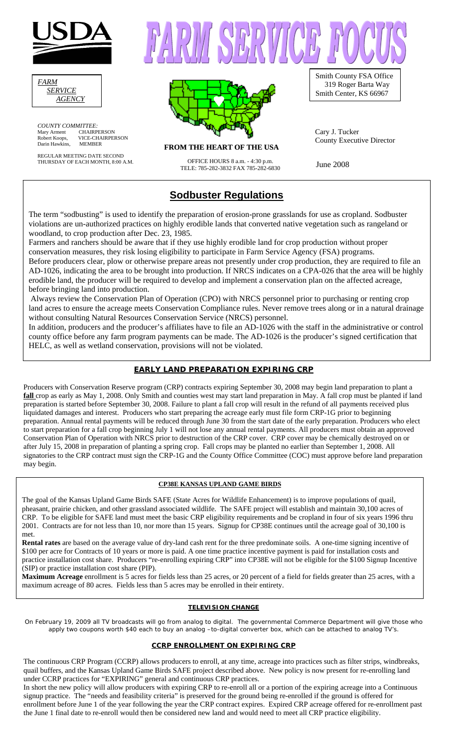

| <i>FARM</i>    |  |
|----------------|--|
| <i>SERVICE</i> |  |
| <i>AGENCY</i>  |  |

*COUNTY COMMITTEE:* Mary Arment CHAIRPERSON Robert Koops, VICE-CHAIRPERSON Darin Hawkins, MEMBER

REGULAR MEETING DATE SECOND THURSDAY OF EACH MONTH, 8:00 A.M. OFFICE HOURS 8 a.m. - 4:30 p.m.



ISBRVICE P

**FROM THE HEART OF THE USA** 

UPFICE HOURS 8 a.m. - 4:50 p.m.<br>TELE: 785-282-3832 FAX 785-282-6830 June 2008

# **Sodbuster Regulations**

Smith County FSA Office 319 Roger Barta Way Smith Center, KS 66967

Cary J. Tucker County Executive Director

The term "sodbusting" is used to identify the preparation of erosion-prone grasslands for use as cropland. Sodbuster violations are un-authorized practices on highly erodible lands that converted native vegetation such as rangeland or woodland, to crop production after Dec. 23, 1985.

Farmers and ranchers should be aware that if they use highly erodible land for crop production without proper conservation measures, they risk losing eligibility to participate in Farm Service Agency (FSA) programs. Before producers clear, plow or otherwise prepare areas not presently under crop production, they are required to file an AD-1026, indicating the area to be brought into production. If NRCS indicates on a CPA-026 that the area will be highly erodible land, the producer will be required to develop and implement a conservation plan on the affected acreage, before bringing land into production.

 Always review the Conservation Plan of Operation (CPO) with NRCS personnel prior to purchasing or renting crop land acres to ensure the acreage meets Conservation Compliance rules. Never remove trees along or in a natural drainage without consulting Natural Resources Conservation Service (NRCS) personnel.

In addition, producers and the producer's affiliates have to file an AD-1026 with the staff in the administrative or control county office before any farm program payments can be made. The AD-1026 is the producer's signed certification that HELC, as well as wetland conservation, provisions will not be violated.

## **EARLY LAND PREPARATION EXPIRING CRP**

Producers with Conservation Reserve program (CRP) contracts expiring September 30, 2008 may begin land preparation to plant a **fall** crop as early as May 1, 2008. Only Smith and counties west may start land preparation in May. A fall crop must be planted if land preparation is started before September 30, 2008. Failure to plant a fall crop will result in the refund of all payments received plus liquidated damages and interest. Producers who start preparing the acreage early must file form CRP-1G prior to beginning preparation. Annual rental payments will be reduced through June 30 from the start date of the early preparation. Producers who elect to start preparation for a fall crop beginning July 1 will not lose any annual rental payments. All producers must obtain an approved Conservation Plan of Operation with NRCS prior to destruction of the CRP cover. CRP cover may be chemically destroyed on or after July 15, 2008 in preparation of planting a spring crop. Fall crops may be planted no earlier than September 1, 2008. All signatories to the CRP contract must sign the CRP-1G and the County Office Committee (COC) must approve before land preparation may begin.

#### **CP38E KANSAS UPLAND GAME BIRDS**

The goal of the Kansas Upland Game Birds SAFE (State Acres for Wildlife Enhancement) is to improve populations of quail, pheasant, prairie chicken, and other grassland associated wildlife. The SAFE project will establish and maintain 30,100 acres of CRP. To be eligible for SAFE land must meet the basic CRP eligibility requirements and be cropland in four of six years 1996 thru 2001. Contracts are for not less than 10, nor more than 15 years. Signup for CP38E continues until the acreage goal of 30,100 is met.

**Rental rates** are based on the average value of dry-land cash rent for the three predominate soils. A one-time signing incentive of \$100 per acre for Contracts of 10 years or more is paid. A one time practice incentive payment is paid for installation costs and practice installation cost share. Producers "re-enrolling expiring CRP" into CP38E will not be eligible for the \$100 Signup Incentive (SIP) or practice installation cost share (PIP).

**Maximum Acreage** enrollment is 5 acres for fields less than 25 acres, or 20 percent of a field for fields greater than 25 acres, with a maximum acreage of 80 acres. Fields less than 5 acres may be enrolled in their entirety.

#### **TELEVISION CHANGE**

On February 19, 2009 all TV broadcasts will go from analog to digital. The governmental Commerce Department will give those who apply two coupons worth \$40 each to buy an analog –to-digital converter box, which can be attached to analog TV's.

#### **CCRP ENROLLMENT ON EXPIRING CRP**

The continuous CRP Program (CCRP) allows producers to enroll, at any time, acreage into practices such as filter strips, windbreaks, quail buffers, and the Kansas Upland Game Birds SAFE project described above. New policy is now present for re-enrolling land under CCRP practices for "EXPIRING" general and continuous CRP practices.

In short the new policy will allow producers with expiring CRP to re-enroll all or a portion of the expiring acreage into a Continuous signup practice. The "needs and feasibility criteria" is preserved for the ground being re-enrolled if the ground is offered for enrollment before June 1 of the year following the year the CRP contract expires. Expired CRP acreage offered for re-enrollment past the June 1 final date to re-enroll would then be considered new land and would need to meet all CRP practice eligibility.